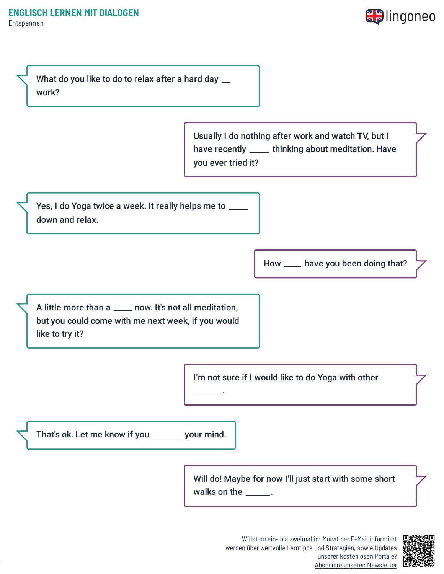